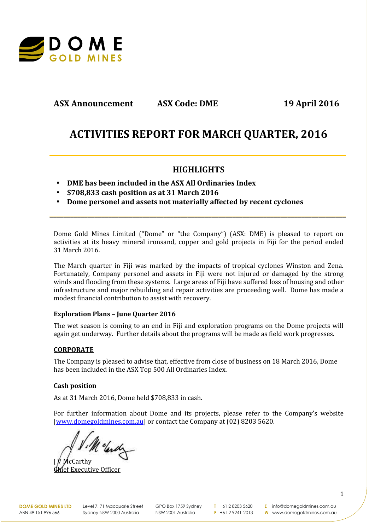

# **ASX Announcement ASX Code: DME 19 April 2016**

# **ACTIVITIES REPORT FOR MARCH QUARTER, 2016**

## **HIGHLIGHTS**

**\_\_\_\_\_\_\_\_\_\_\_\_\_\_\_\_\_\_\_\_\_\_\_\_\_\_\_\_\_\_\_\_\_\_\_\_\_\_\_\_\_\_\_\_\_\_\_\_\_\_\_\_\_\_\_\_\_\_\_\_\_\_\_\_\_\_\_\_\_\_\_\_\_\_\_\_\_\_\_\_\_\_\_\_\_\_**

**\_\_\_\_\_\_\_\_\_\_\_\_\_\_\_\_\_\_\_\_\_\_\_\_\_\_\_\_\_\_\_\_\_\_\_\_\_\_\_\_\_\_\_\_\_\_\_\_\_\_\_\_\_\_\_\_\_\_\_\_\_\_\_\_\_\_\_\_\_\_\_\_\_\_\_\_\_\_\_\_\_\_\_\_\_\_**

- **DME has been included in the ASX All Ordinaries Index**
- **\$708,833 cash position as at 31 March 2016**
- **Dome personel and assets not materially affected by recent cyclones**

Dome Gold Mines Limited ("Dome" or "the Company") (ASX: DME) is pleased to report on activities at its heavy mineral ironsand, copper and gold projects in Fiji for the period ended 31 March 2016.

The March quarter in Fiji was marked by the impacts of tropical cyclones Winston and Zena. Fortunately, Company personel and assets in Fiji were not injured or damaged by the strong winds and flooding from these systems. Large areas of Fiji have suffered loss of housing and other infrastructure and major rebuilding and repair activities are proceeding well. Dome has made a modest financial contribution to assist with recovery.

#### **Exploration Plans – June Quarter 2016**

The wet season is coming to an end in Fiji and exploration programs on the Dome projects will again get underway. Further details about the programs will be made as field work progresses.

## **CORPORATE**

The Company is pleased to advise that, effective from close of business on 18 March 2016, Dome has been included in the ASX Top 500 All Ordinaries Index.

### **Cash position**

As at 31 March 2016, Dome held \$708,833 in cash.

For further information about Dome and its projects, please refer to the Company's website [www.domegoldmines.com.au] or contact the Company at (02) 8203 5620.

M clardy

J V McCarthy kecutive Officer